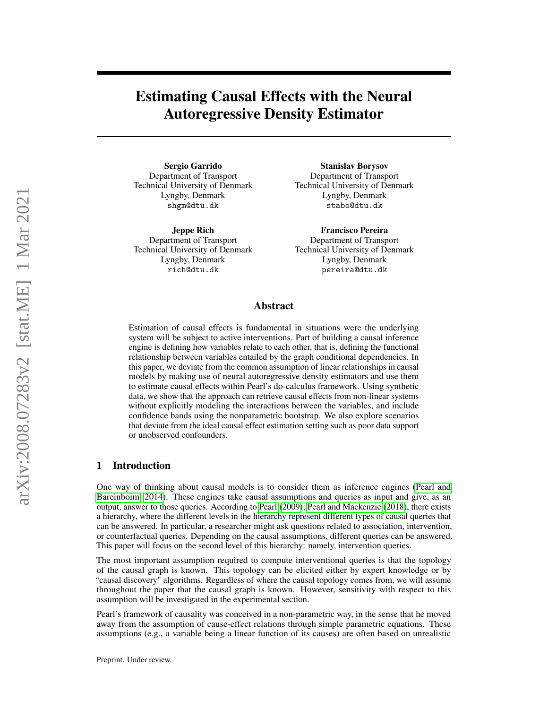Estimating Causal Effects with the Neural Autoregressive Density Estimator

Sergio Garrido Department of Transport Technical University of Denmark Lyngby, Denmark shgm@dtu.dk

Jeppe Rich Department of Transport Technical University of Denmark Lyngby, Denmark rich@dtu.dk

Stanislav Borysov Department of Transport Technical University of Denmark Lyngby, Denmark stabo@dtu.dk

Francisco Pereira Department of Transport Technical University of Denmark Lyngby, Denmark pereira@dtu.dk

## Abstract

Estimation of causal effects is fundamental in situations were the underlying system will be subject to active interventions. Part of building a causal inference engine is defining how variables relate to each other, that is, defining the functional relationship between variables entailed by the graph conditional dependencies. In this paper, we deviate from the common assumption of linear relationships in causal models by making use of neural autoregressive density estimators and use them to estimate causal effects within Pearl's do-calculus framework. Using synthetic data, we show that the approach can retrieve causal effects from non-linear systems without explicitly modeling the interactions between the variables, and include confidence bands using the nonparametric bootstrap. We also explore scenarios that deviate from the ideal causal effect estimation setting such as poor data support or unobserved confounders.

## 1 Introduction

One way of thinking about causal models is to consider them as inference engines [\(Pearl and](#page-15-0) [Bareinboim, 2014\)](#page-15-0). These engines take causal assumptions and queries as input and give, as an output, answer to those queries. According to [Pearl](#page-15-1) [\(2009\)](#page-15-1); [Pearl and Mackenzie](#page-15-2) [\(2018\)](#page-15-2), there exists a hierarchy, where the different levels in the hierarchy represent different types of causal queries that can be answered. In particular, a researcher might ask questions related to association, intervention, or counterfactual queries. Depending on the causal assumptions, different queries can be answered. This paper will focus on the second level of this hierarchy: namely, intervention queries.

The most important assumption required to compute interventional queries is that the topology of the causal graph is known. This topology can be elicited either by expert knowledge or by "causal discovery" algorithms. Regardless of where the causal topology comes from, we will assume throughout the paper that the causal graph is known. However, sensitivity with respect to this assumption will be investigated in the experimental section.

Pearl's framework of causality was conceived in a non-parametric way, in the sense that he moved away from the assumption of cause-effect relations through simple parametric equations. These assumptions (e.g., a variable being a linear function of its causes) are often based on unrealistic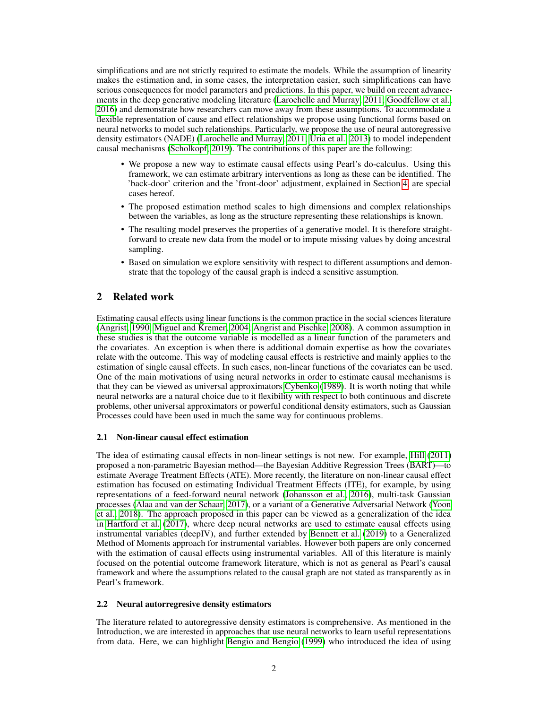simplifications and are not strictly required to estimate the models. While the assumption of linearity makes the estimation and, in some cases, the interpretation easier, such simplifications can have serious consequences for model parameters and predictions. In this paper, we build on recent advancements in the deep generative modeling literature [\(Larochelle and Murray, 2011;](#page-14-0) [Goodfellow et al.,](#page-14-1) [2016\)](#page-14-1) and demonstrate how researchers can move away from these assumptions. To accommodate a flexible representation of cause and effect relationships we propose using functional forms based on neural networks to model such relationships. Particularly, we propose the use of neural autoregressive density estimators (NADE) [\(Larochelle and Murray, 2011;](#page-14-0) [Uria et al., 2013\)](#page-15-3) to model independent causal mechanisms [\(Scholkopf, 2019\)](#page-15-4). The contributions of this paper are the following:

- We propose a new way to estimate causal effects using Pearl's do-calculus. Using this framework, we can estimate arbitrary interventions as long as these can be identified. The 'back-door' criterion and the 'front-door' adjustment, explained in Section [4,](#page-3-0) are special cases hereof.
- The proposed estimation method scales to high dimensions and complex relationships between the variables, as long as the structure representing these relationships is known.
- The resulting model preserves the properties of a generative model. It is therefore straightforward to create new data from the model or to impute missing values by doing ancestral sampling.
- Based on simulation we explore sensitivity with respect to different assumptions and demonstrate that the topology of the causal graph is indeed a sensitive assumption.

# 2 Related work

Estimating causal effects using linear functions is the common practice in the social sciences literature [\(Angrist, 1990;](#page-14-2) [Miguel and Kremer, 2004;](#page-14-3) [Angrist and Pischke, 2008\)](#page-14-4). A common assumption in these studies is that the outcome variable is modelled as a linear function of the parameters and the covariates. An exception is when there is additional domain expertise as how the covariates relate with the outcome. This way of modeling causal effects is restrictive and mainly applies to the estimation of single causal effects. In such cases, non-linear functions of the covariates can be used. One of the main motivations of using neural networks in order to estimate causal mechanisms is that they can be viewed as universal approximators [Cybenko](#page-14-5) [\(1989\)](#page-14-5). It is worth noting that while neural networks are a natural choice due to it flexibility with respect to both continuous and discrete problems, other universal approximators or powerful conditional density estimators, such as Gaussian Processes could have been used in much the same way for continuous problems.

## 2.1 Non-linear causal effect estimation

The idea of estimating causal effects in non-linear settings is not new. For example, [Hill](#page-14-6) [\(2011\)](#page-14-6) proposed a non-parametric Bayesian method—the Bayesian Additive Regression Trees (BART)—to estimate Average Treatment Effects (ATE). More recently, the literature on non-linear causal effect estimation has focused on estimating Individual Treatment Effects (ITE), for example, by using representations of a feed-forward neural network [\(Johansson et al., 2016\)](#page-14-7), multi-task Gaussian processes [\(Alaa and van der Schaar, 2017\)](#page-14-8), or a variant of a Generative Adversarial Network [\(Yoon](#page-15-5) [et al., 2018\)](#page-15-5). The approach proposed in this paper can be viewed as a generalization of the idea in [Hartford et al.](#page-14-9) [\(2017\)](#page-14-9), where deep neural networks are used to estimate causal effects using instrumental variables (deepIV), and further extended by [Bennett et al.](#page-14-10) [\(2019\)](#page-14-10) to a Generalized Method of Moments approach for instrumental variables. However both papers are only concerned with the estimation of causal effects using instrumental variables. All of this literature is mainly focused on the potential outcome framework literature, which is not as general as Pearl's causal framework and where the assumptions related to the causal graph are not stated as transparently as in Pearl's framework.

## 2.2 Neural autorregresive density estimators

The literature related to autoregressive density estimators is comprehensive. As mentioned in the Introduction, we are interested in approaches that use neural networks to learn useful representations from data. Here, we can highlight [Bengio and Bengio](#page-14-11) [\(1999\)](#page-14-11) who introduced the idea of using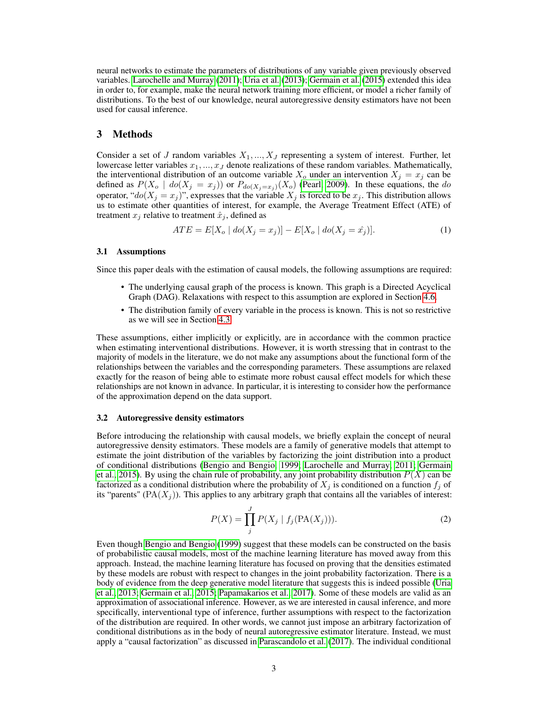neural networks to estimate the parameters of distributions of any variable given previously observed variables. [Larochelle and Murray](#page-14-0) [\(2011\)](#page-14-0); [Uria et al.](#page-15-3) [\(2013\)](#page-15-3); [Germain et al.](#page-14-12) [\(2015\)](#page-14-12) extended this idea in order to, for example, make the neural network training more efficient, or model a richer family of distributions. To the best of our knowledge, neural autoregressive density estimators have not been used for causal inference.

## 3 Methods

Consider a set of J random variables  $X_1, ..., X_J$  representing a system of interest. Further, let lowercase letter variables  $x_1, ..., x_J$  denote realizations of these random variables. Mathematically, the interventional distribution of an outcome variable  $X_o$  under an intervention  $X_j = x_j$  can be defined as  $P(X_o \mid do(X_j = x_j))$  or  $P_{do(X_j = x_j)}(X_o)$  [\(Pearl, 2009\)](#page-15-1). In these equations, the do operator, " $do(X_i = x_j)$ ", expresses that the variable  $X_i$  is forced to be  $x_i$ . This distribution allows us to estimate other quantities of interest, for example, the Average Treatment Effect (ATE) of treatment  $x_j$  relative to treatment  $\hat{x}_j$ , defined as

$$
ATE = E[X_o \mid do(X_j = x_j)] - E[X_o \mid do(X_j = \hat{x_j})]. \tag{1}
$$

#### <span id="page-2-1"></span>3.1 Assumptions

Since this paper deals with the estimation of causal models, the following assumptions are required:

- The underlying causal graph of the process is known. This graph is a Directed Acyclical Graph (DAG). Relaxations with respect to this assumption are explored in Section [4.6.](#page-9-0)
- The distribution family of every variable in the process is known. This is not so restrictive as we will see in Section [4.3.](#page-5-0)

These assumptions, either implicitly or explicitly, are in accordance with the common practice when estimating interventional distributions. However, it is worth stressing that in contrast to the majority of models in the literature, we do not make any assumptions about the functional form of the relationships between the variables and the corresponding parameters. These assumptions are relaxed exactly for the reason of being able to estimate more robust causal effect models for which these relationships are not known in advance. In particular, it is interesting to consider how the performance of the approximation depend on the data support.

### 3.2 Autoregressive density estimators

Before introducing the relationship with causal models, we briefly explain the concept of neural autoregressive density estimators. These models are a family of generative models that attempt to estimate the joint distribution of the variables by factorizing the joint distribution into a product of conditional distributions [\(Bengio and Bengio, 1999;](#page-14-11) [Larochelle and Murray, 2011;](#page-14-0) [Germain](#page-14-12) [et al., 2015\)](#page-14-12). By using the chain rule of probability, any joint probability distribution  $P(X)$  can be factorized as a conditional distribution where the probability of  $X_j$  is conditioned on a function  $f_j$  of its "parents" ( $PA(X_i)$ ). This applies to any arbitrary graph that contains all the variables of interest:

<span id="page-2-0"></span>
$$
P(X) = \prod_{j}^{J} P(X_j \mid f_j(\text{PA}(X_j))).
$$
 (2)

Even though [Bengio and Bengio](#page-14-11) [\(1999\)](#page-14-11) suggest that these models can be constructed on the basis of probabilistic causal models, most of the machine learning literature has moved away from this approach. Instead, the machine learning literature has focused on proving that the densities estimated by these models are robust with respect to changes in the joint probability factorization. There is a body of evidence from the deep generative model literature that suggests this is indeed possible [\(Uria](#page-15-3) [et al., 2013;](#page-15-3) [Germain et al., 2015;](#page-14-12) [Papamakarios et al., 2017\)](#page-15-6). Some of these models are valid as an approximation of associational inference. However, as we are interested in causal inference, and more specifically, interventional type of inference, further assumptions with respect to the factorization of the distribution are required. In other words, we cannot just impose an arbitrary factorization of conditional distributions as in the body of neural autoregressive estimator literature. Instead, we must apply a "causal factorization" as discussed in [Parascandolo et al.](#page-15-7) [\(2017\)](#page-15-7). The individual conditional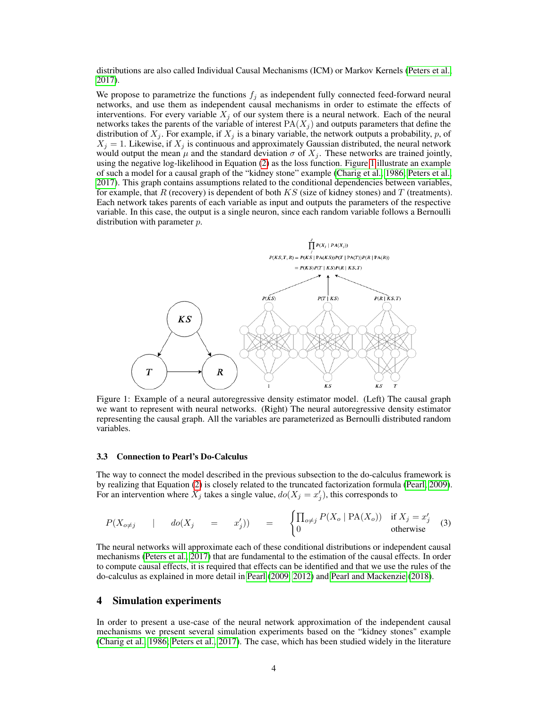distributions are also called Individual Causal Mechanisms (ICM) or Markov Kernels [\(Peters et al.,](#page-15-8) [2017\)](#page-15-8).

We propose to parametrize the functions  $f_j$  as independent fully connected feed-forward neural networks, and use them as independent causal mechanisms in order to estimate the effects of interventions. For every variable  $X_i$  of our system there is a neural network. Each of the neural networks takes the parents of the variable of interest  $PA(X_i)$  and outputs parameters that define the distribution of  $X_i$ . For example, if  $X_i$  is a binary variable, the network outputs a probability, p, of  $X_i = 1$ . Likewise, if  $X_i$  is continuous and approximately Gaussian distributed, the neural network would output the mean  $\mu$  and the standard deviation  $\sigma$  of  $X_j$ . These networks are trained jointly, using the negative log-likelihood in Equation [\(2\)](#page-2-0) as the loss function. Figure [1](#page-3-1) illustrate an example of such a model for a causal graph of the "kidney stone" example [\(Charig et al., 1986;](#page-14-13) [Peters et al.,](#page-15-8) [2017\)](#page-15-8). This graph contains assumptions related to the conditional dependencies between variables, for example, that R (recovery) is dependent of both  $KS$  (size of kidney stones) and T (treatments). Each network takes parents of each variable as input and outputs the parameters of the respective variable. In this case, the output is a single neuron, since each random variable follows a Bernoulli distribution with parameter p.

<span id="page-3-1"></span>

Figure 1: Example of a neural autoregressive density estimator model. (Left) The causal graph we want to represent with neural networks. (Right) The neural autoregressive density estimator representing the causal graph. All the variables are parameterized as Bernoulli distributed random variables.

#### 3.3 Connection to Pearl's Do-Calculus

The way to connect the model described in the previous subsection to the do-calculus framework is by realizing that Equation [\(2\)](#page-2-0) is closely related to the truncated factorization formula [\(Pearl, 2009\)](#page-15-1). For an intervention where  $\hat{X}_j$  takes a single value,  $do(X_j = x'_j)$ , this corresponds to

$$
P(X_{o \neq j} \mid do(X_j = x'_j)) = \begin{cases} \prod_{o \neq j} P(X_o \mid \text{PA}(X_o)) & \text{if } X_j = x'_j \\ 0 & \text{otherwise} \end{cases}
$$
 (3)

The neural networks will approximate each of these conditional distributions or independent causal mechanisms [\(Peters et al., 2017\)](#page-15-8) that are fundamental to the estimation of the causal effects. In order to compute causal effects, it is required that effects can be identified and that we use the rules of the do-calculus as explained in more detail in [Pearl](#page-15-1) [\(2009,](#page-15-1) [2012\)](#page-15-9) and [Pearl and Mackenzie](#page-15-2) [\(2018\)](#page-15-2).

## <span id="page-3-0"></span>4 Simulation experiments

In order to present a use-case of the neural network approximation of the independent causal mechanisms we present several simulation experiments based on the "kidney stones" example [\(Charig et al., 1986;](#page-14-13) [Peters et al., 2017\)](#page-15-8). The case, which has been studied widely in the literature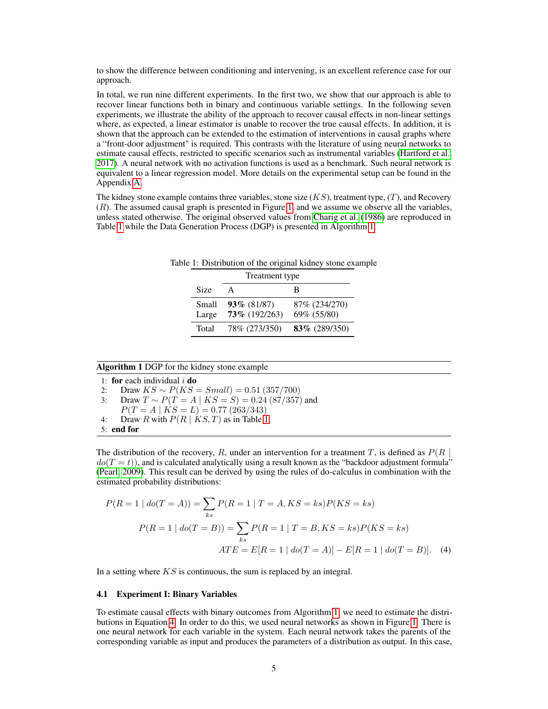to show the difference between conditioning and intervening, is an excellent reference case for our approach.

In total, we run nine different experiments. In the first two, we show that our approach is able to recover linear functions both in binary and continuous variable settings. In the following seven experiments, we illustrate the ability of the approach to recover causal effects in non-linear settings where, as expected, a linear estimator is unable to recover the true causal effects. In addition, it is shown that the approach can be extended to the estimation of interventions in causal graphs where a "front-door adjustment" is required. This contrasts with the literature of using neural networks to estimate causal effects, restricted to specific scenarios such as instrumental variables [\(Hartford et al.,](#page-14-9) [2017\)](#page-14-9). A neural network with no activation functions is used as a benchmark. Such neural network is equivalent to a linear regression model. More details on the experimental setup can be found in the Appendix [A.](#page-12-0)

<span id="page-4-0"></span>The kidney stone example contains three variables, stone size  $(KS)$ , treatment type,  $(T)$ , and Recovery  $(R)$ . The assumed causal graph is presented in Figure [1,](#page-3-1) and we assume we observe all the variables, unless stated otherwise. The original observed values from [Charig et al.](#page-14-13) [\(1986\)](#page-14-13) are reproduced in Table [1](#page-4-0) while the Data Generation Process (DGP) is presented in Algorithm [1.](#page-4-1)

|                |                                    | Table 1: Distribution of the original kidney stone example |  |
|----------------|------------------------------------|------------------------------------------------------------|--|
|                | Treatment type                     |                                                            |  |
| Size           | $\mathsf{A}$                       |                                                            |  |
| Small<br>Large | $93\%$ (81/87)<br>$73\%$ (192/263) | 87% (234/270)<br>69% (55/80)                               |  |
| Total          | 78% (273/350)                      | $83\%$ (289/350)                                           |  |

#### <span id="page-4-1"></span>Algorithm 1 DGP for the kidney stone example

1: for each individual  $i$  do

<span id="page-4-4"></span>2: Draw  $KS \sim P(KS = Small) = 0.51 (357/700)$ 

3: Draw  $T \sim P(T = A | KS = S) = 0.24 (87/357)$  and

<span id="page-4-3"></span>
$$
P(T = A \mid KS = L) = 0.77 \ (263/343)
$$

4: Draw R with  $P(R | K S, T)$  as in Table [1.](#page-4-0)

5: end for

The distribution of the recovery, R, under an intervention for a treatment T, is defined as  $P(R |$  $do(T = t)$ , and is calculated analytically using a result known as the "backdoor adjustment formula" [\(Pearl, 2009\)](#page-15-1). This result can be derived by using the rules of do-calculus in combination with the estimated probability distributions:

<span id="page-4-2"></span>
$$
P(R = 1 | do(T = A)) = \sum_{ks} P(R = 1 | T = A, KS = ks)P(KS = ks)
$$

$$
P(R = 1 | do(T = B)) = \sum_{ks} P(R = 1 | T = B, KS = ks)P(KS = ks)
$$

$$
ATE = E[R = 1 | do(T = A)] - E[R = 1 | do(T = B)].
$$
 (4)

In a setting where  $KS$  is continuous, the sum is replaced by an integral.

### 4.1 Experiment I: Binary Variables

To estimate causal effects with binary outcomes from Algorithm [1,](#page-4-1) we need to estimate the distributions in Equation [4.](#page-4-2) In order to do this, we used neural networks as shown in Figure [1.](#page-3-1) There is one neural network for each variable in the system. Each neural network takes the parents of the corresponding variable as input and produces the parameters of a distribution as output. In this case,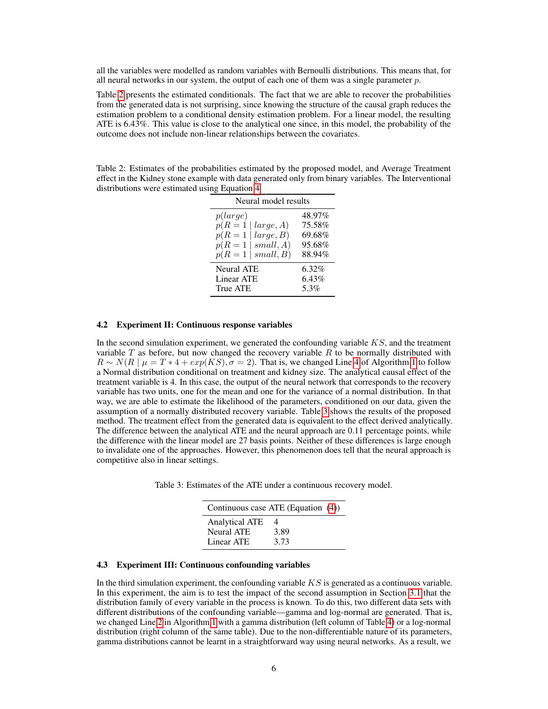all the variables were modelled as random variables with Bernoulli distributions. This means that, for all neural networks in our system, the output of each one of them was a single parameter  $p$ .

Table [2](#page-5-1) presents the estimated conditionals. The fact that we are able to recover the probabilities from the generated data is not surprising, since knowing the structure of the causal graph reduces the estimation problem to a conditional density estimation problem. For a linear model, the resulting ATE is 6.43%. This value is close to the analytical one since, in this model, the probability of the outcome does not include non-linear relationships between the covariates.

<span id="page-5-1"></span>Table 2: Estimates of the probabilities estimated by the proposed model, and Average Treatment effect in the Kidney stone example with data generated only from binary variables. The Interventional distributions were estimated using Equation [4](#page-4-2)

| Neural model results                                                                                         |                                                |  |  |
|--------------------------------------------------------------------------------------------------------------|------------------------------------------------|--|--|
| p(large)<br>$p(R=1)$<br>large, A)<br>large, B)<br>$p(R=1)$<br>small, A)<br>$p(R=1)$<br>small, B)<br>$p(R=1)$ | 48.97%<br>75.58%<br>69.68%<br>95.68%<br>88.94% |  |  |
| Neural ATE<br><b>Linear ATE</b><br>True ATE                                                                  | 6.32%<br>6.43%<br>5.3%                         |  |  |

#### 4.2 Experiment II: Continuous response variables

In the second simulation experiment, we generated the confounding variable  $KS$ , and the treatment variable  $T$  as before, but now changed the recovery variable  $R$  to be normally distributed with  $R \sim N(R \mid \mu = T * 4 + exp(KS), \sigma = 2)$  $R \sim N(R \mid \mu = T * 4 + exp(KS), \sigma = 2)$  $R \sim N(R \mid \mu = T * 4 + exp(KS), \sigma = 2)$ . That is, we changed Line 4 of Algorithm [1](#page-4-1) to follow a Normal distribution conditional on treatment and kidney size. The analytical causal effect of the treatment variable is 4. In this case, the output of the neural network that corresponds to the recovery variable has two units, one for the mean and one for the variance of a normal distribution. In that way, we are able to estimate the likelihood of the parameters, conditioned on our data, given the assumption of a normally distributed recovery variable. Table [3](#page-5-2) shows the results of the proposed method. The treatment effect from the generated data is equivalent to the effect derived analytically. The difference between the analytical ATE and the neural approach are 0.11 percentage points, while the difference with the linear model are 27 basis points. Neither of these differences is large enough to invalidate one of the approaches. However, this phenomenon does tell that the neural approach is competitive also in linear settings.

<span id="page-5-2"></span>

| Table 3: Estimates of the ATE under a continuous recovery model. |  |  |  |  |
|------------------------------------------------------------------|--|--|--|--|
|                                                                  |  |  |  |  |

|                       | Continuous case ATE (Equation (4)) |
|-----------------------|------------------------------------|
| <b>Analytical ATE</b> | 4                                  |
| <b>Neural ATE</b>     | 3.89                               |
| Linear ATE            | 3.73                               |

#### <span id="page-5-0"></span>4.3 Experiment III: Continuous confounding variables

In the third simulation experiment, the confounding variable  $KS$  is generated as a continuous variable. In this experiment, the aim is to test the impact of the second assumption in Section [3.1](#page-2-1) that the distribution family of every variable in the process is known. To do this, two different data sets with different distributions of the confounding variable—gamma and log-normal are generated. That is, we changed Line [2](#page-4-4) in Algorithm [1](#page-4-1) with a gamma distribution (left column of Table [4\)](#page-6-0) or a log-normal distribution (right column of the same table). Due to the non-differentiable nature of its parameters, gamma distributions cannot be learnt in a straightforward way using neural networks. As a result, we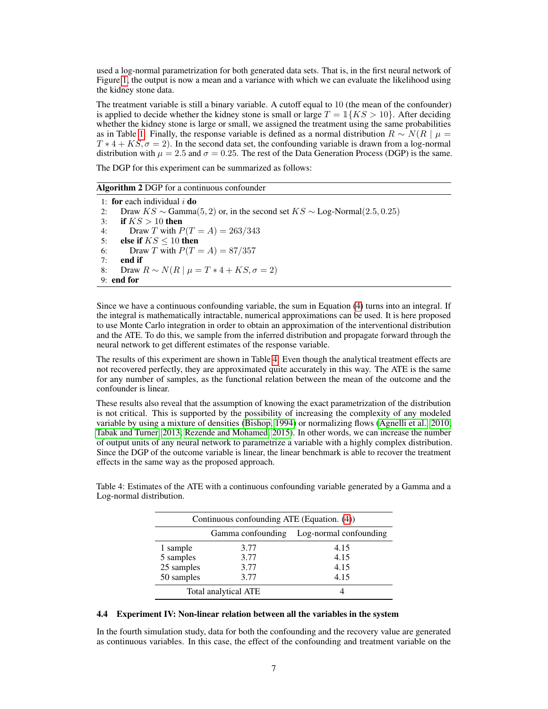used a log-normal parametrization for both generated data sets. That is, in the first neural network of Figure [1,](#page-3-1) the output is now a mean and a variance with which we can evaluate the likelihood using the kidney stone data.

The treatment variable is still a binary variable. A cutoff equal to 10 (the mean of the confounder) is applied to decide whether the kidney stone is small or large  $T = \mathbb{1}{K}S > 10$ . After deciding whether the kidney stone is large or small, we assigned the treatment using the same probabilities as in Table [1.](#page-4-0) Finally, the response variable is defined as a normal distribution  $R \sim N(R \mid \mu =$  $T * 4 + KS, \sigma = 2$ ). In the second data set, the confounding variable is drawn from a log-normal distribution with  $\mu = 2.5$  and  $\sigma = 0.25$ . The rest of the Data Generation Process (DGP) is the same.

The DGP for this experiment can be summarized as follows:

#### Algorithm 2 DGP for a continuous confounder

1: for each individual  $i$  do 2: Draw  $KS \sim \text{Gamma}(5, 2)$  or, in the second set  $KS \sim \text{Log-Normal}(2.5, 0.25)$ 3: if  $KS > 10$  then 4: Draw T with  $P(T = A) = 263/343$ 5: else if  $KS \leq 10$  then 6: Draw T with  $P(T = A) = 87/357$ 7: **end if**  $8:$  Draw Draw  $R \sim N(R \mid \mu = T * 4 + KS, \sigma = 2)$ 9: end for

Since we have a continuous confounding variable, the sum in Equation [\(4\)](#page-4-2) turns into an integral. If the integral is mathematically intractable, numerical approximations can be used. It is here proposed to use Monte Carlo integration in order to obtain an approximation of the interventional distribution and the ATE. To do this, we sample from the inferred distribution and propagate forward through the neural network to get different estimates of the response variable.

The results of this experiment are shown in Table [4.](#page-6-0) Even though the analytical treatment effects are not recovered perfectly, they are approximated quite accurately in this way. The ATE is the same for any number of samples, as the functional relation between the mean of the outcome and the confounder is linear.

These results also reveal that the assumption of knowing the exact parametrization of the distribution is not critical. This is supported by the possibility of increasing the complexity of any modeled variable by using a mixture of densities [\(Bishop, 1994\)](#page-14-14) or normalizing flows [\(Agnelli et al., 2010;](#page-14-15) [Tabak and Turner, 2013;](#page-15-10) [Rezende and Mohamed, 2015\)](#page-15-11). In other words, we can increase the number of output units of any neural network to parametrize a variable with a highly complex distribution. Since the DGP of the outcome variable is linear, the linear benchmark is able to recover the treatment effects in the same way as the proposed approach.

| Continuous confounding ATE (Equation. (4)) |      |                        |  |  |
|--------------------------------------------|------|------------------------|--|--|
| Gamma confounding                          |      | Log-normal confounding |  |  |
| 1 sample                                   | 3.77 | 4.15                   |  |  |
| 5 samples                                  | 3.77 | 4.15                   |  |  |
| 25 samples                                 | 3.77 | 4.15                   |  |  |
| 50 samples                                 | 3.77 | 4.15                   |  |  |
| Total analytical ATE                       |      |                        |  |  |

<span id="page-6-0"></span>Table 4: Estimates of the ATE with a continuous confounding variable generated by a Gamma and a Log-normal distribution.

#### <span id="page-6-1"></span>4.4 Experiment IV: Non-linear relation between all the variables in the system

In the fourth simulation study, data for both the confounding and the recovery value are generated as continuous variables. In this case, the effect of the confounding and treatment variable on the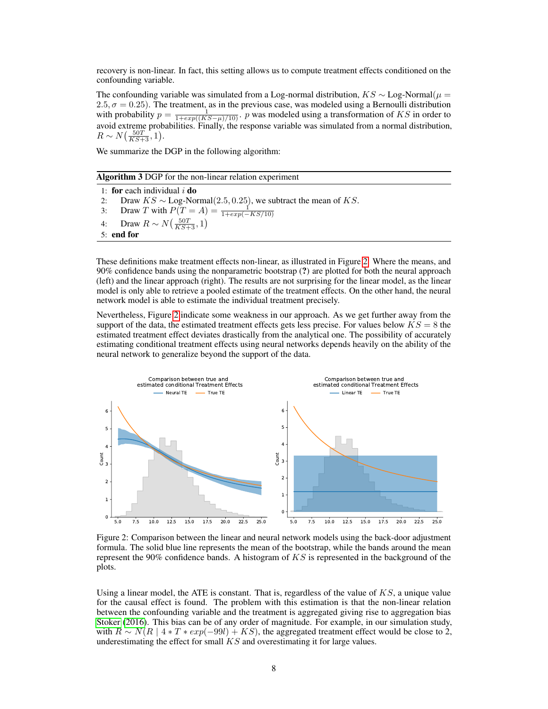recovery is non-linear. In fact, this setting allows us to compute treatment effects conditioned on the confounding variable.

The confounding variable was simulated from a Log-normal distribution,  $KS \sim$  Log-Normal( $\mu$  =  $2.5, \sigma = 0.25$ ). The treatment, as in the previous case, was modeled using a Bernoulli distribution with probability  $p = \frac{1}{1 + exp((KS - \mu)/10)}$ . p was modeled using a transformation of KS in order to avoid extreme probabilities. Finally, the response variable was simulated from a normal distribution,  $R \sim N\left(\frac{50T}{KS+3}, 1\right).$ 

We summarize the DGP in the following algorithm:

| Algorithm 3 DGP for the non-linear relation experiment |  |  |
|--------------------------------------------------------|--|--|
|--------------------------------------------------------|--|--|

1: for each individual  $i$  do 2: Draw  $KS \sim \text{Log-Normal}(2.5, 0.25)$ , we subtract the mean of KS. 3: Draw T with  $P(T = A) = \frac{1}{1 + exp(-KS/10)}$ 4: Draw  $R \sim N\left(\frac{50T}{KS+3}, 1\right)$ 5: end for

These definitions make treatment effects non-linear, as illustrated in Figure [2.](#page-7-0) Where the means, and 90% confidence bands using the nonparametric bootstrap (?) are plotted for both the neural approach (left) and the linear approach (right). The results are not surprising for the linear model, as the linear model is only able to retrieve a pooled estimate of the treatment effects. On the other hand, the neural network model is able to estimate the individual treatment precisely.

Nevertheless, Figure [2](#page-7-0) indicate some weakness in our approach. As we get further away from the support of the data, the estimated treatment effects gets less precise. For values below  $KS = 8$  the estimated treatment effect deviates drastically from the analytical one. The possibility of accurately estimating conditional treatment effects using neural networks depends heavily on the ability of the neural network to generalize beyond the support of the data.

<span id="page-7-0"></span>

Figure 2: Comparison between the linear and neural network models using the back-door adjustment formula. The solid blue line represents the mean of the bootstrap, while the bands around the mean represent the 90% confidence bands. A histogram of  $KS$  is represented in the background of the plots.

Using a linear model, the ATE is constant. That is, regardless of the value of  $KS$ , a unique value for the causal effect is found. The problem with this estimation is that the non-linear relation between the confounding variable and the treatment is aggregated giving rise to aggregation bias [Stoker](#page-15-12) [\(2016\)](#page-15-12). This bias can be of any order of magnitude. For example, in our simulation study, with  $R \sim N(R \mid 4 * T * exp(-99l) + KS)$ , the aggregated treatment effect would be close to 2, underestimating the effect for small  $KS$  and overestimating it for large values.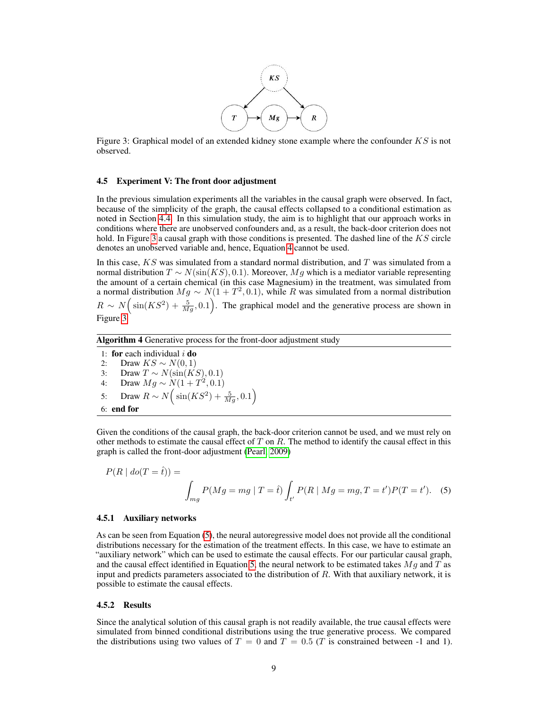

<span id="page-8-0"></span>Figure 3: Graphical model of an extended kidney stone example where the confounder  $KS$  is not observed.

#### 4.5 Experiment V: The front door adjustment

In the previous simulation experiments all the variables in the causal graph were observed. In fact, because of the simplicity of the graph, the causal effects collapsed to a conditional estimation as noted in Section [4.4.](#page-6-1) In this simulation study, the aim is to highlight that our approach works in conditions where there are unobserved confounders and, as a result, the back-door criterion does not hold. In Figure [3](#page-8-0) a causal graph with those conditions is presented. The dashed line of the  $KS$  circle denotes an unobserved variable and, hence, Equation [4](#page-4-2) cannot be used.

In this case,  $KS$  was simulated from a standard normal distribution, and T was simulated from a normal distribution  $T \sim N(\sin(KS), 0.1)$ . Moreover, Mg which is a mediator variable representing the amount of a certain chemical (in this case Magnesium) in the treatment, was simulated from a normal distribution  $Mg \sim N(1+T^2, 0.1)$ , while R was simulated from a normal distribution  $R \sim N \Big(\sin(KS^2) + \frac{5}{Mg}, 0.1\Big)$ . The graphical model and the generative process are shown in Figure [3.](#page-8-0)

Algorithm 4 Generative process for the front-door adjustment study

1: for each individual  $i$  do 2: Draw  $KS \sim N(0, 1)$ 3: Draw  $T \sim N(\sin(KS), 0.1)$ 4: Draw  $Mg \sim N(1 + T^2, 0.1)$ 5: Draw  $R \sim N\left(\sin(KS^2) + \frac{5}{Mg}, 0.1\right)$ 6: end for

Given the conditions of the causal graph, the back-door criterion cannot be used, and we must rely on other methods to estimate the causal effect of  $T$  on  $R$ . The method to identify the causal effect in this graph is called the front-door adjustment [\(Pearl, 2009\)](#page-15-1)

<span id="page-8-1"></span>
$$
P(R | do(T = \hat{t})) =
$$
  

$$
\int_{mg} P(Mg = mg | T = \hat{t}) \int_{t'} P(R | Mg = mg, T = t')P(T = t').
$$
 (5)

#### 4.5.1 Auxiliary networks

As can be seen from Equation [\(5\)](#page-8-1), the neural autoregressive model does not provide all the conditional distributions necessary for the estimation of the treatment effects. In this case, we have to estimate an "auxiliary network" which can be used to estimate the causal effects. For our particular causal graph, and the causal effect identified in Equation [5,](#page-8-1) the neural network to be estimated takes  $Mg$  and T as input and predicts parameters associated to the distribution of  $R$ . With that auxiliary network, it is possible to estimate the causal effects.

#### 4.5.2 Results

Since the analytical solution of this causal graph is not readily available, the true causal effects were simulated from binned conditional distributions using the true generative process. We compared the distributions using two values of  $T = 0$  and  $T = 0.5$  (T is constrained between -1 and 1).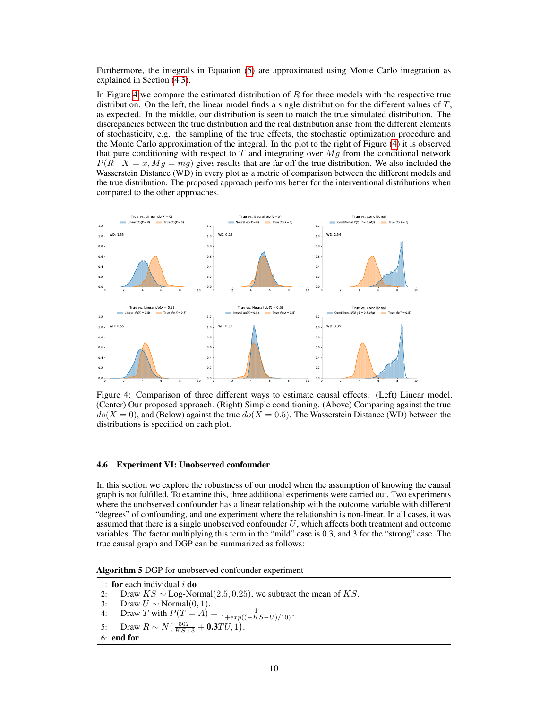Furthermore, the integrals in Equation [\(5\)](#page-8-1) are approximated using Monte Carlo integration as explained in Section [\(4.3\)](#page-5-0).

In Figure [4](#page-9-1) we compare the estimated distribution of  $R$  for three models with the respective true distribution. On the left, the linear model finds a single distribution for the different values of  $T$ , as expected. In the middle, our distribution is seen to match the true simulated distribution. The discrepancies between the true distribution and the real distribution arise from the different elements of stochasticity, e.g. the sampling of the true effects, the stochastic optimization procedure and the Monte Carlo approximation of the integral. In the plot to the right of Figure [\(4\)](#page-9-1) it is observed that pure conditioning with respect to T and integrating over  $Mq$  from the conditional network  $P(R | X = x, Mg = mg)$  gives results that are far off the true distribution. We also included the Wasserstein Distance (WD) in every plot as a metric of comparison between the different models and the true distribution. The proposed approach performs better for the interventional distributions when compared to the other approaches.

<span id="page-9-1"></span>

Figure 4: Comparison of three different ways to estimate causal effects. (Left) Linear model. (Center) Our proposed approach. (Right) Simple conditioning. (Above) Comparing against the true  $do(X = 0)$ , and (Below) against the true  $do(X = 0.5)$ . The Wasserstein Distance (WD) between the distributions is specified on each plot.

#### <span id="page-9-0"></span>4.6 Experiment VI: Unobserved confounder

In this section we explore the robustness of our model when the assumption of knowing the causal graph is not fulfilled. To examine this, three additional experiments were carried out. Two experiments where the unobserved confounder has a linear relationship with the outcome variable with different "degrees" of confounding, and one experiment where the relationship is non-linear. In all cases, it was assumed that there is a single unobserved confounder  $U$ , which affects both treatment and outcome variables. The factor multiplying this term in the "mild" case is 0.3, and 3 for the "strong" case. The true causal graph and DGP can be summarized as follows:

<span id="page-9-2"></span>Algorithm 5 DGP for unobserved confounder experiment

```
1: for each individual i do
```

```
2: Draw KS \sim \text{Log-Normal}(2.5, 0.25), we subtract the mean of KS.<br>3: Draw U \sim \text{Normal}(0, 1).
```

```
Draw U \sim \text{Normal}(0, 1).
```
4: Draw T with  $P(T = A) = \frac{1}{1 + exp((-KS - U)/10)}$ .

5: Draw  $R \sim N(\frac{50T}{KS+3} + 0.3TU, 1)$ .

```
6: end for
```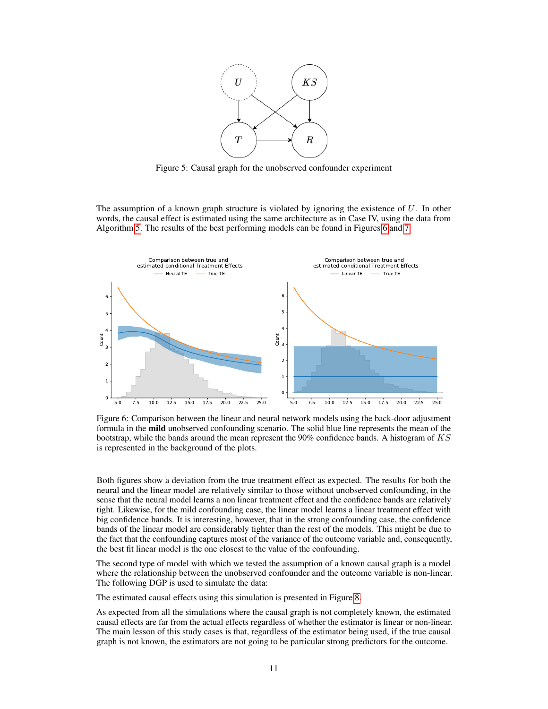

Figure 5: Causal graph for the unobserved confounder experiment

The assumption of a known graph structure is violated by ignoring the existence of  $U$ . In other words, the causal effect is estimated using the same architecture as in Case IV, using the data from Algorithm [5.](#page-9-2) The results of the best performing models can be found in Figures [6](#page-10-0) and [7.](#page-11-0)

<span id="page-10-0"></span>

Figure 6: Comparison between the linear and neural network models using the back-door adjustment formula in the **mild** unobserved confounding scenario. The solid blue line represents the mean of the bootstrap, while the bands around the mean represent the  $90\%$  confidence bands. A histogram of KS is represented in the background of the plots.

Both figures show a deviation from the true treatment effect as expected. The results for both the neural and the linear model are relatively similar to those without unobserved confounding, in the sense that the neural model learns a non linear treatment effect and the confidence bands are relatively tight. Likewise, for the mild confounding case, the linear model learns a linear treatment effect with big confidence bands. It is interesting, however, that in the strong confounding case, the confidence bands of the linear model are considerably tighter than the rest of the models. This might be due to the fact that the confounding captures most of the variance of the outcome variable and, consequently, the best fit linear model is the one closest to the value of the confounding.

The second type of model with which we tested the assumption of a known causal graph is a model where the relationship between the unobserved confounder and the outcome variable is non-linear. The following DGP is used to simulate the data:

The estimated causal effects using this simulation is presented in Figure [8.](#page-11-1)

As expected from all the simulations where the causal graph is not completely known, the estimated causal effects are far from the actual effects regardless of whether the estimator is linear or non-linear. The main lesson of this study cases is that, regardless of the estimator being used, if the true causal graph is not known, the estimators are not going to be particular strong predictors for the outcome.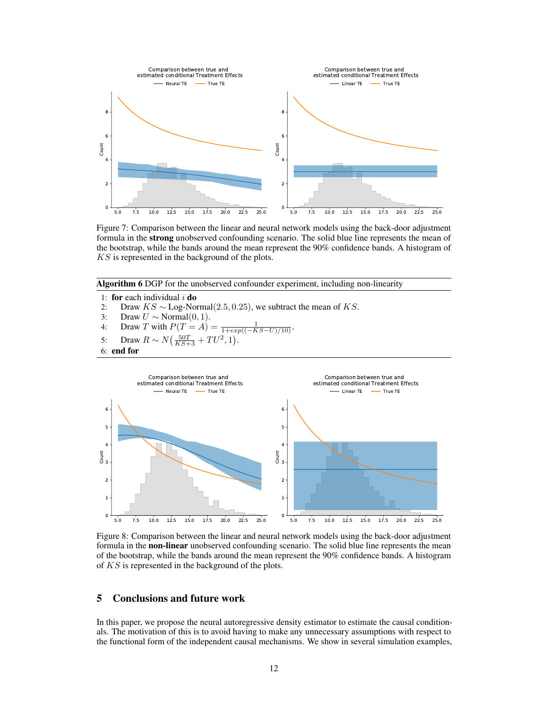<span id="page-11-0"></span>

Figure 7: Comparison between the linear and neural network models using the back-door adjustment formula in the strong unobserved confounding scenario. The solid blue line represents the mean of the bootstrap, while the bands around the mean represent the 90% confidence bands. A histogram of KS is represented in the background of the plots.

Algorithm 6 DGP for the unobserved confounder experiment, including non-linearity

1: for each individual  $i$  do

- 2: Draw  $KS \sim \text{Log-Normal}(2.5, 0.25)$ , we subtract the mean of KS.<br>3: Draw  $U \sim \text{Normal}(0, 1)$ .
- Draw  $U \sim \text{Normal}(0, 1)$ .

4: Draw T with 
$$
P(T = A) = \frac{1}{1 + exp((-KS - U)/10)}
$$
.

- 5: Draw  $R \sim N(\frac{50T}{KS+3} + TU^2, 1)$ .
- 6: end for

<span id="page-11-1"></span>

Figure 8: Comparison between the linear and neural network models using the back-door adjustment formula in the **non-linear** unobserved confounding scenario. The solid blue line represents the mean of the bootstrap, while the bands around the mean represent the 90% confidence bands. A histogram of KS is represented in the background of the plots.

## 5 Conclusions and future work

In this paper, we propose the neural autoregressive density estimator to estimate the causal conditionals. The motivation of this is to avoid having to make any unnecessary assumptions with respect to the functional form of the independent causal mechanisms. We show in several simulation examples,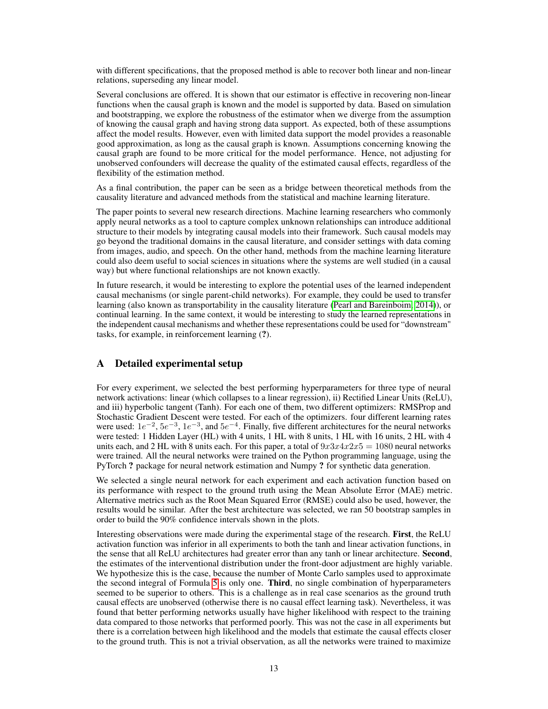with different specifications, that the proposed method is able to recover both linear and non-linear relations, superseding any linear model.

Several conclusions are offered. It is shown that our estimator is effective in recovering non-linear functions when the causal graph is known and the model is supported by data. Based on simulation and bootstrapping, we explore the robustness of the estimator when we diverge from the assumption of knowing the causal graph and having strong data support. As expected, both of these assumptions affect the model results. However, even with limited data support the model provides a reasonable good approximation, as long as the causal graph is known. Assumptions concerning knowing the causal graph are found to be more critical for the model performance. Hence, not adjusting for unobserved confounders will decrease the quality of the estimated causal effects, regardless of the flexibility of the estimation method.

As a final contribution, the paper can be seen as a bridge between theoretical methods from the causality literature and advanced methods from the statistical and machine learning literature.

The paper points to several new research directions. Machine learning researchers who commonly apply neural networks as a tool to capture complex unknown relationships can introduce additional structure to their models by integrating causal models into their framework. Such causal models may go beyond the traditional domains in the causal literature, and consider settings with data coming from images, audio, and speech. On the other hand, methods from the machine learning literature could also deem useful to social sciences in situations where the systems are well studied (in a causal way) but where functional relationships are not known exactly.

In future research, it would be interesting to explore the potential uses of the learned independent causal mechanisms (or single parent-child networks). For example, they could be used to transfer learning (also known as transportability in the causality literature [\(Pearl and Bareinboim, 2014\)](#page-15-0)), or continual learning. In the same context, it would be interesting to study the learned representations in the independent causal mechanisms and whether these representations could be used for "downstream" tasks, for example, in reinforcement learning (?).

## <span id="page-12-0"></span>A Detailed experimental setup

For every experiment, we selected the best performing hyperparameters for three type of neural network activations: linear (which collapses to a linear regression), ii) Rectified Linear Units (ReLU), and iii) hyperbolic tangent (Tanh). For each one of them, two different optimizers: RMSProp and Stochastic Gradient Descent were tested. For each of the optimizers. four different learning rates were used:  $1e^{-2}$ ,  $5e^{-3}$ ,  $1e^{-3}$ , and  $5e^{-4}$ . Finally, five different architectures for the neural networks were tested: 1 Hidden Layer (HL) with 4 units, 1 HL with 8 units, 1 HL with 16 units, 2 HL with 4 units each, and 2 HL with 8 units each. For this paper, a total of  $9x3x4x2x5 = 1080$  neural networks were trained. All the neural networks were trained on the Python programming language, using the PyTorch ? package for neural network estimation and Numpy ? for synthetic data generation.

We selected a single neural network for each experiment and each activation function based on its performance with respect to the ground truth using the Mean Absolute Error (MAE) metric. Alternative metrics such as the Root Mean Squared Error (RMSE) could also be used, however, the results would be similar. After the best architecture was selected, we ran 50 bootstrap samples in order to build the 90% confidence intervals shown in the plots.

Interesting observations were made during the experimental stage of the research. First, the ReLU activation function was inferior in all experiments to both the tanh and linear activation functions, in the sense that all ReLU architectures had greater error than any tanh or linear architecture. Second, the estimates of the interventional distribution under the front-door adjustment are highly variable. We hypothesize this is the case, because the number of Monte Carlo samples used to approximate the second integral of Formula [5](#page-8-1) is only one. **Third**, no single combination of hyperparameters seemed to be superior to others. This is a challenge as in real case scenarios as the ground truth causal effects are unobserved (otherwise there is no causal effect learning task). Nevertheless, it was found that better performing networks usually have higher likelihood with respect to the training data compared to those networks that performed poorly. This was not the case in all experiments but there is a correlation between high likelihood and the models that estimate the causal effects closer to the ground truth. This is not a trivial observation, as all the networks were trained to maximize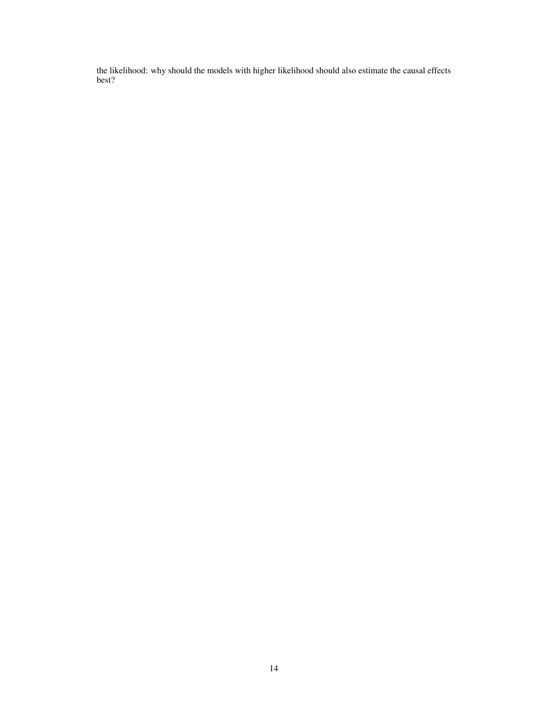the likelihood: why should the models with higher likelihood should also estimate the causal effects best?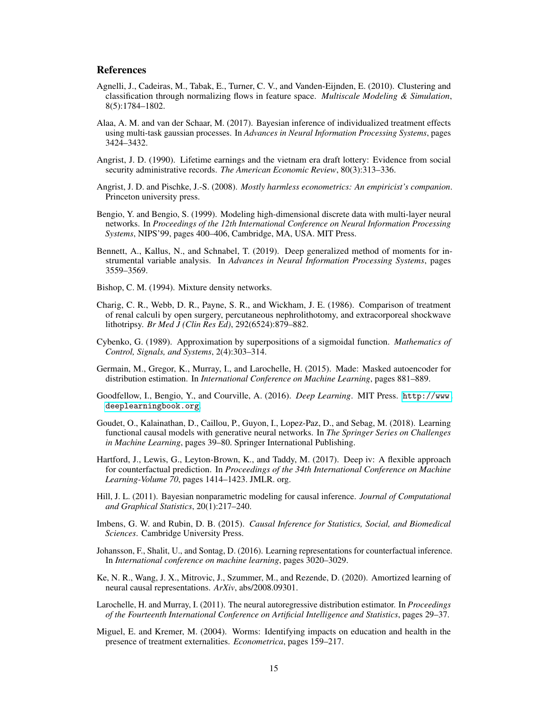## References

- <span id="page-14-15"></span>Agnelli, J., Cadeiras, M., Tabak, E., Turner, C. V., and Vanden-Eijnden, E. (2010). Clustering and classification through normalizing flows in feature space. *Multiscale Modeling & Simulation*, 8(5):1784–1802.
- <span id="page-14-8"></span>Alaa, A. M. and van der Schaar, M. (2017). Bayesian inference of individualized treatment effects using multi-task gaussian processes. In *Advances in Neural Information Processing Systems*, pages 3424–3432.
- <span id="page-14-2"></span>Angrist, J. D. (1990). Lifetime earnings and the vietnam era draft lottery: Evidence from social security administrative records. *The American Economic Review*, 80(3):313–336.
- <span id="page-14-4"></span>Angrist, J. D. and Pischke, J.-S. (2008). *Mostly harmless econometrics: An empiricist's companion*. Princeton university press.
- <span id="page-14-11"></span>Bengio, Y. and Bengio, S. (1999). Modeling high-dimensional discrete data with multi-layer neural networks. In *Proceedings of the 12th International Conference on Neural Information Processing Systems*, NIPS'99, pages 400–406, Cambridge, MA, USA. MIT Press.
- <span id="page-14-10"></span>Bennett, A., Kallus, N., and Schnabel, T. (2019). Deep generalized method of moments for instrumental variable analysis. In *Advances in Neural Information Processing Systems*, pages 3559–3569.
- <span id="page-14-14"></span>Bishop, C. M. (1994). Mixture density networks.
- <span id="page-14-13"></span>Charig, C. R., Webb, D. R., Payne, S. R., and Wickham, J. E. (1986). Comparison of treatment of renal calculi by open surgery, percutaneous nephrolithotomy, and extracorporeal shockwave lithotripsy. *Br Med J (Clin Res Ed)*, 292(6524):879–882.
- <span id="page-14-5"></span>Cybenko, G. (1989). Approximation by superpositions of a sigmoidal function. *Mathematics of Control, Signals, and Systems*, 2(4):303–314.
- <span id="page-14-12"></span>Germain, M., Gregor, K., Murray, I., and Larochelle, H. (2015). Made: Masked autoencoder for distribution estimation. In *International Conference on Machine Learning*, pages 881–889.
- <span id="page-14-1"></span>Goodfellow, I., Bengio, Y., and Courville, A. (2016). *Deep Learning*. MIT Press. [http://www.](http://www.deeplearningbook.org) [deeplearningbook.org](http://www.deeplearningbook.org).
- Goudet, O., Kalainathan, D., Caillou, P., Guyon, I., Lopez-Paz, D., and Sebag, M. (2018). Learning functional causal models with generative neural networks. In *The Springer Series on Challenges in Machine Learning*, pages 39–80. Springer International Publishing.
- <span id="page-14-9"></span>Hartford, J., Lewis, G., Leyton-Brown, K., and Taddy, M. (2017). Deep iv: A flexible approach for counterfactual prediction. In *Proceedings of the 34th International Conference on Machine Learning-Volume 70*, pages 1414–1423. JMLR. org.
- <span id="page-14-6"></span>Hill, J. L. (2011). Bayesian nonparametric modeling for causal inference. *Journal of Computational and Graphical Statistics*, 20(1):217–240.
- Imbens, G. W. and Rubin, D. B. (2015). *Causal Inference for Statistics, Social, and Biomedical Sciences*. Cambridge University Press.
- <span id="page-14-7"></span>Johansson, F., Shalit, U., and Sontag, D. (2016). Learning representations for counterfactual inference. In *International conference on machine learning*, pages 3020–3029.
- Ke, N. R., Wang, J. X., Mitrovic, J., Szummer, M., and Rezende, D. (2020). Amortized learning of neural causal representations. *ArXiv*, abs/2008.09301.
- <span id="page-14-0"></span>Larochelle, H. and Murray, I. (2011). The neural autoregressive distribution estimator. In *Proceedings of the Fourteenth International Conference on Artificial Intelligence and Statistics*, pages 29–37.
- <span id="page-14-3"></span>Miguel, E. and Kremer, M. (2004). Worms: Identifying impacts on education and health in the presence of treatment externalities. *Econometrica*, pages 159–217.